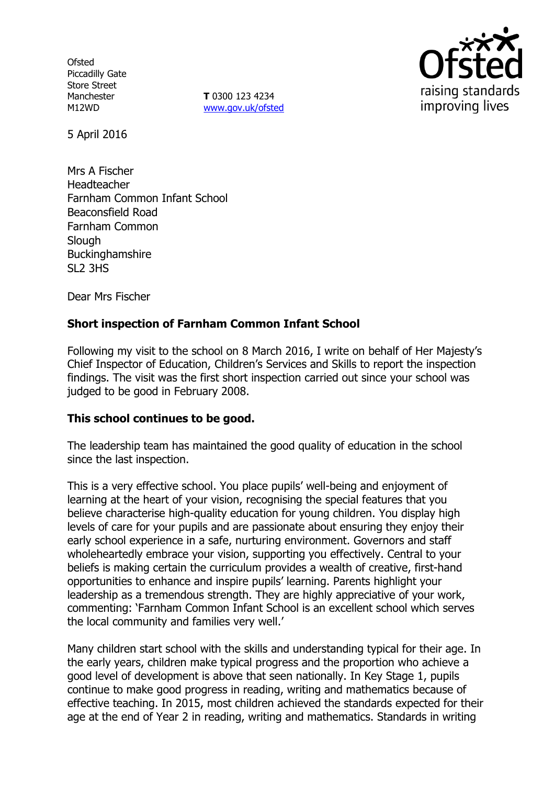**Ofsted** Piccadilly Gate Store Street **Manchester** M12WD

**T** 0300 123 4234 www.gov.uk/ofsted



5 April 2016

Mrs A Fischer Headteacher Farnham Common Infant School Beaconsfield Road Farnham Common **Slough** Buckinghamshire SL2 3HS

Dear Mrs Fischer

# **Short inspection of Farnham Common Infant School**

Following my visit to the school on 8 March 2016, I write on behalf of Her Majesty's Chief Inspector of Education, Children's Services and Skills to report the inspection findings. The visit was the first short inspection carried out since your school was judged to be good in February 2008.

## **This school continues to be good.**

The leadership team has maintained the good quality of education in the school since the last inspection.

This is a very effective school. You place pupils' well-being and enjoyment of learning at the heart of your vision, recognising the special features that you believe characterise high-quality education for young children. You display high levels of care for your pupils and are passionate about ensuring they enjoy their early school experience in a safe, nurturing environment. Governors and staff wholeheartedly embrace your vision, supporting you effectively. Central to your beliefs is making certain the curriculum provides a wealth of creative, first-hand opportunities to enhance and inspire pupils' learning. Parents highlight your leadership as a tremendous strength. They are highly appreciative of your work, commenting: 'Farnham Common Infant School is an excellent school which serves the local community and families very well.'

Many children start school with the skills and understanding typical for their age. In the early years, children make typical progress and the proportion who achieve a good level of development is above that seen nationally. In Key Stage 1, pupils continue to make good progress in reading, writing and mathematics because of effective teaching. In 2015, most children achieved the standards expected for their age at the end of Year 2 in reading, writing and mathematics. Standards in writing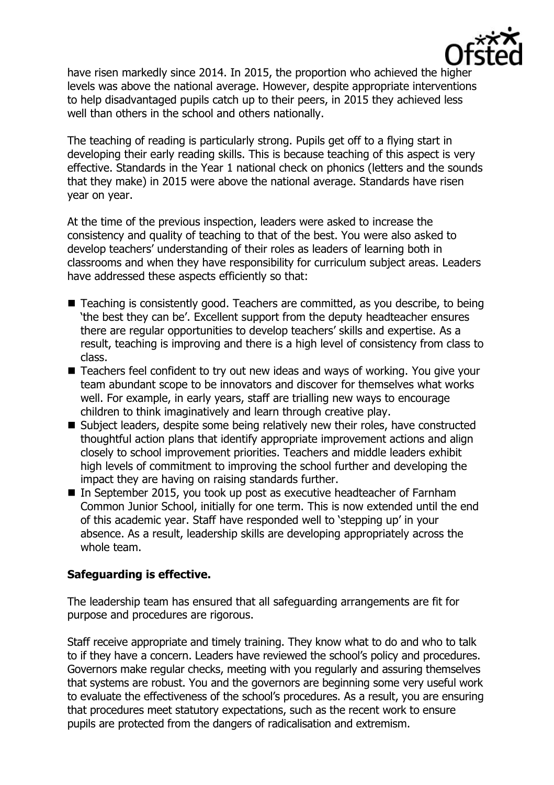

have risen markedly since 2014. In 2015, the proportion who achieved the higher levels was above the national average. However, despite appropriate interventions to help disadvantaged pupils catch up to their peers, in 2015 they achieved less well than others in the school and others nationally.

The teaching of reading is particularly strong. Pupils get off to a flying start in developing their early reading skills. This is because teaching of this aspect is very effective. Standards in the Year 1 national check on phonics (letters and the sounds that they make) in 2015 were above the national average. Standards have risen year on year.

At the time of the previous inspection, leaders were asked to increase the consistency and quality of teaching to that of the best. You were also asked to develop teachers' understanding of their roles as leaders of learning both in classrooms and when they have responsibility for curriculum subject areas. Leaders have addressed these aspects efficiently so that:

- Teaching is consistently good. Teachers are committed, as you describe, to being 'the best they can be'. Excellent support from the deputy headteacher ensures there are regular opportunities to develop teachers' skills and expertise. As a result, teaching is improving and there is a high level of consistency from class to class.
- Teachers feel confident to try out new ideas and ways of working. You give your team abundant scope to be innovators and discover for themselves what works well. For example, in early years, staff are trialling new ways to encourage children to think imaginatively and learn through creative play.
- Subject leaders, despite some being relatively new their roles, have constructed thoughtful action plans that identify appropriate improvement actions and align closely to school improvement priorities. Teachers and middle leaders exhibit high levels of commitment to improving the school further and developing the impact they are having on raising standards further.
- In September 2015, you took up post as executive headteacher of Farnham Common Junior School, initially for one term. This is now extended until the end of this academic year. Staff have responded well to 'stepping up' in your absence. As a result, leadership skills are developing appropriately across the whole team.

## **Safeguarding is effective.**

The leadership team has ensured that all safeguarding arrangements are fit for purpose and procedures are rigorous.

Staff receive appropriate and timely training. They know what to do and who to talk to if they have a concern. Leaders have reviewed the school's policy and procedures. Governors make regular checks, meeting with you regularly and assuring themselves that systems are robust. You and the governors are beginning some very useful work to evaluate the effectiveness of the school's procedures. As a result, you are ensuring that procedures meet statutory expectations, such as the recent work to ensure pupils are protected from the dangers of radicalisation and extremism.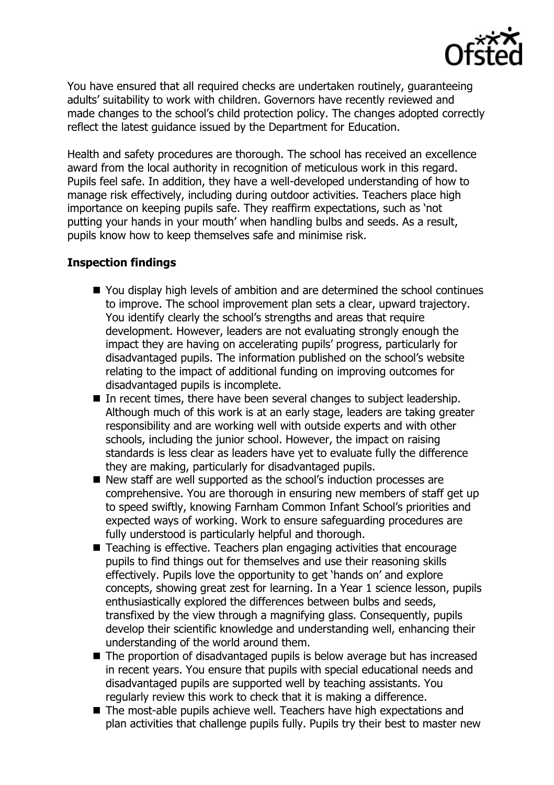

You have ensured that all required checks are undertaken routinely, guaranteeing adults' suitability to work with children. Governors have recently reviewed and made changes to the school's child protection policy. The changes adopted correctly reflect the latest guidance issued by the Department for Education.

Health and safety procedures are thorough. The school has received an excellence award from the local authority in recognition of meticulous work in this regard. Pupils feel safe. In addition, they have a well-developed understanding of how to manage risk effectively, including during outdoor activities. Teachers place high importance on keeping pupils safe. They reaffirm expectations, such as 'not putting your hands in your mouth' when handling bulbs and seeds. As a result, pupils know how to keep themselves safe and minimise risk.

## **Inspection findings**

- You display high levels of ambition and are determined the school continues to improve. The school improvement plan sets a clear, upward trajectory. You identify clearly the school's strengths and areas that require development. However, leaders are not evaluating strongly enough the impact they are having on accelerating pupils' progress, particularly for disadvantaged pupils. The information published on the school's website relating to the impact of additional funding on improving outcomes for disadvantaged pupils is incomplete.
- In recent times, there have been several changes to subject leadership. Although much of this work is at an early stage, leaders are taking greater responsibility and are working well with outside experts and with other schools, including the junior school. However, the impact on raising standards is less clear as leaders have yet to evaluate fully the difference they are making, particularly for disadvantaged pupils.
- New staff are well supported as the school's induction processes are comprehensive. You are thorough in ensuring new members of staff get up to speed swiftly, knowing Farnham Common Infant School's priorities and expected ways of working. Work to ensure safeguarding procedures are fully understood is particularly helpful and thorough.
- Teaching is effective. Teachers plan engaging activities that encourage pupils to find things out for themselves and use their reasoning skills effectively. Pupils love the opportunity to get 'hands on' and explore concepts, showing great zest for learning. In a Year 1 science lesson, pupils enthusiastically explored the differences between bulbs and seeds, transfixed by the view through a magnifying glass. Consequently, pupils develop their scientific knowledge and understanding well, enhancing their understanding of the world around them.
- The proportion of disadvantaged pupils is below average but has increased in recent years. You ensure that pupils with special educational needs and disadvantaged pupils are supported well by teaching assistants. You regularly review this work to check that it is making a difference.
- The most-able pupils achieve well. Teachers have high expectations and plan activities that challenge pupils fully. Pupils try their best to master new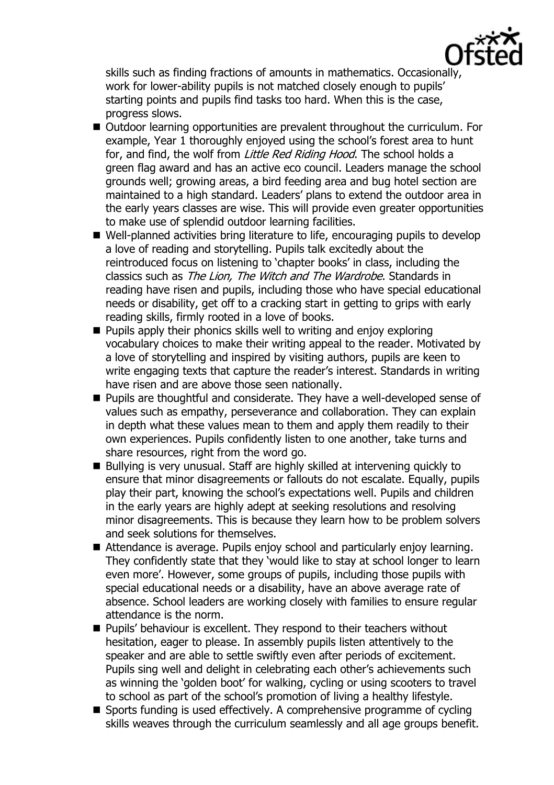

skills such as finding fractions of amounts in mathematics. Occasionally, work for lower-ability pupils is not matched closely enough to pupils' starting points and pupils find tasks too hard. When this is the case, progress slows.

- Outdoor learning opportunities are prevalent throughout the curriculum. For example, Year 1 thoroughly enjoyed using the school's forest area to hunt for, and find, the wolf from Little Red Riding Hood. The school holds a green flag award and has an active eco council. Leaders manage the school grounds well; growing areas, a bird feeding area and bug hotel section are maintained to a high standard. Leaders' plans to extend the outdoor area in the early years classes are wise. This will provide even greater opportunities to make use of splendid outdoor learning facilities.
- Well-planned activities bring literature to life, encouraging pupils to develop a love of reading and storytelling. Pupils talk excitedly about the reintroduced focus on listening to 'chapter books' in class, including the classics such as The Lion, The Witch and The Wardrobe. Standards in reading have risen and pupils, including those who have special educational needs or disability, get off to a cracking start in getting to grips with early reading skills, firmly rooted in a love of books.
- **Pupils apply their phonics skills well to writing and enjoy exploring** vocabulary choices to make their writing appeal to the reader. Motivated by a love of storytelling and inspired by visiting authors, pupils are keen to write engaging texts that capture the reader's interest. Standards in writing have risen and are above those seen nationally.
- **Pupils are thoughtful and considerate. They have a well-developed sense of** values such as empathy, perseverance and collaboration. They can explain in depth what these values mean to them and apply them readily to their own experiences. Pupils confidently listen to one another, take turns and share resources, right from the word go.
- Bullying is very unusual. Staff are highly skilled at intervening quickly to ensure that minor disagreements or fallouts do not escalate. Equally, pupils play their part, knowing the school's expectations well. Pupils and children in the early years are highly adept at seeking resolutions and resolving minor disagreements. This is because they learn how to be problem solvers and seek solutions for themselves.
- Attendance is average. Pupils enjoy school and particularly enjoy learning. They confidently state that they 'would like to stay at school longer to learn even more'. However, some groups of pupils, including those pupils with special educational needs or a disability, have an above average rate of absence. School leaders are working closely with families to ensure regular attendance is the norm.
- **Pupils' behaviour is excellent. They respond to their teachers without** hesitation, eager to please. In assembly pupils listen attentively to the speaker and are able to settle swiftly even after periods of excitement. Pupils sing well and delight in celebrating each other's achievements such as winning the 'golden boot' for walking, cycling or using scooters to travel to school as part of the school's promotion of living a healthy lifestyle.
- $\blacksquare$  Sports funding is used effectively. A comprehensive programme of cycling skills weaves through the curriculum seamlessly and all age groups benefit.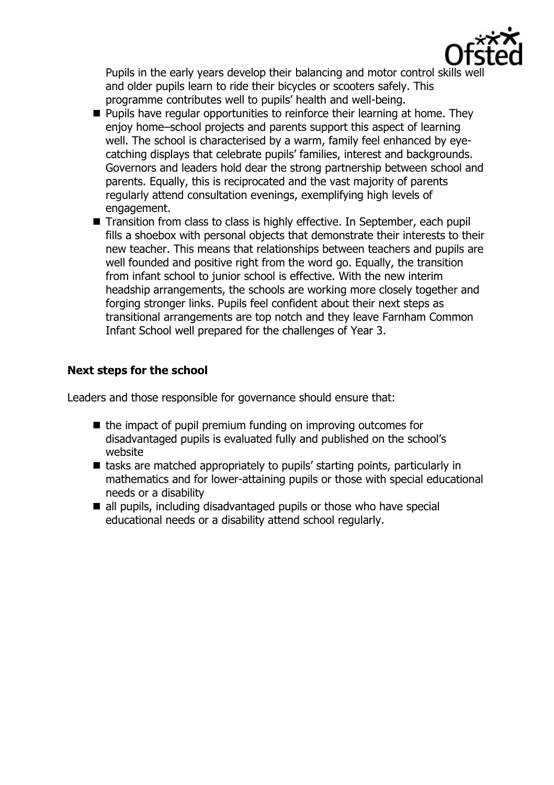

Pupils in the early years develop their balancing and motor control skills we and older pupils learn to ride their bicycles or scooters safely. This programme contributes well to pupils' health and well-being.

- $\blacksquare$  Pupils have regular opportunities to reinforce their learning at home. They enjoy home–school projects and parents support this aspect of learning well. The school is characterised by a warm, family feel enhanced by eyecatching displays that celebrate pupils' families, interest and backgrounds. Governors and leaders hold dear the strong partnership between school and parents. Equally, this is reciprocated and the vast majority of parents regularly attend consultation evenings, exemplifying high levels of engagement.
- Transition from class to class is highly effective. In September, each pupil fills a shoebox with personal objects that demonstrate their interests to their new teacher. This means that relationships between teachers and pupils are well founded and positive right from the word go. Equally, the transition from infant school to junior school is effective. With the new interim headship arrangements, the schools are working more closely together and forging stronger links. Pupils feel confident about their next steps as transitional arrangements are top notch and they leave Farnham Common Infant School well prepared for the challenges of Year 3.

# **Next steps for the school**

Leaders and those responsible for governance should ensure that:

- $\blacksquare$  the impact of pupil premium funding on improving outcomes for disadvantaged pupils is evaluated fully and published on the school's website
- tasks are matched appropriately to pupils' starting points, particularly in mathematics and for lower-attaining pupils or those with special educational needs or a disability
- all pupils, including disadvantaged pupils or those who have special educational needs or a disability attend school regularly.